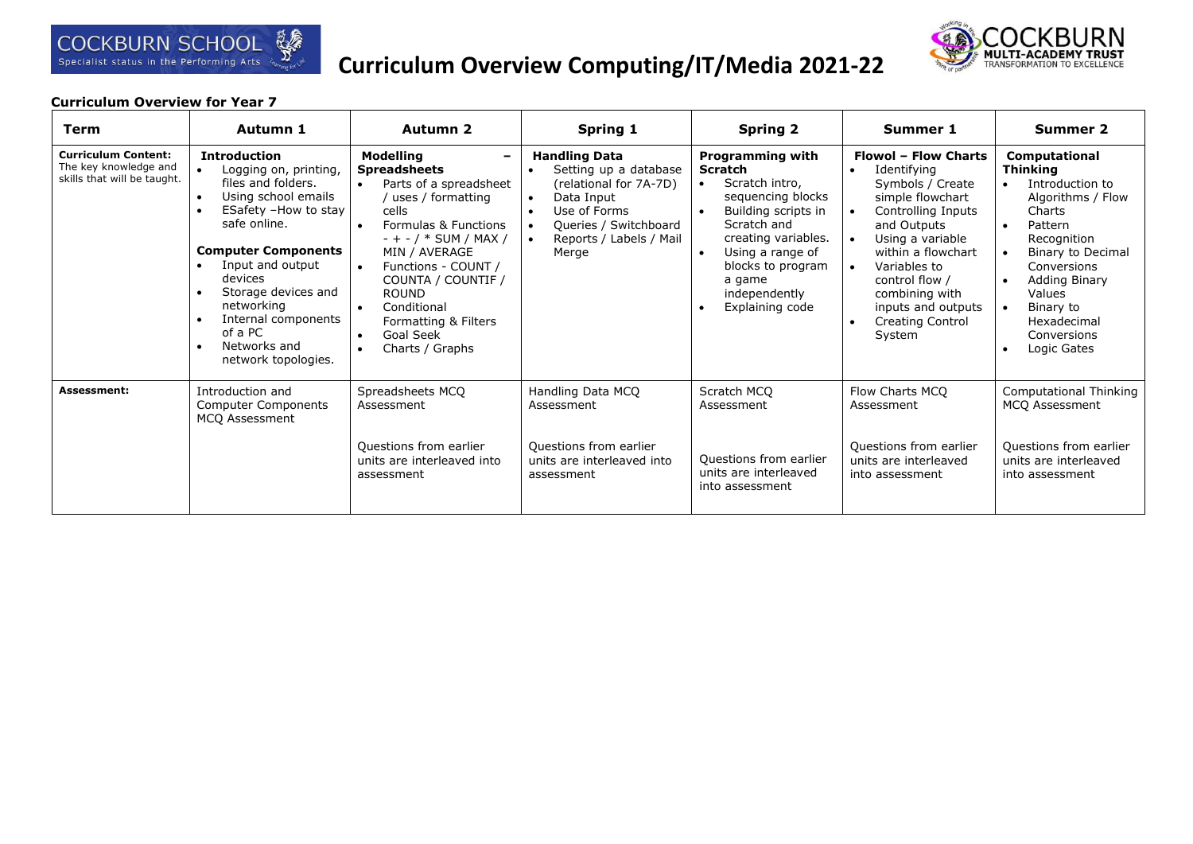

# **Curriculum Overview Computing/IT/Media 2021-22**



| <b>Term</b>                                                                        | Autumn 1                                                                                                                                                                                                                                                                                                     | Autumn 2                                                                                                                                                                                                                                                                                                                                                                 | <b>Spring 1</b>                                                                                                                                                                              | <b>Spring 2</b>                                                                                                                                                                                                                                                      | Summer 1                                                                                                                                                                                                                                                                                                                | <b>Summer 2</b>                                                                                                                                                                                                                                                               |
|------------------------------------------------------------------------------------|--------------------------------------------------------------------------------------------------------------------------------------------------------------------------------------------------------------------------------------------------------------------------------------------------------------|--------------------------------------------------------------------------------------------------------------------------------------------------------------------------------------------------------------------------------------------------------------------------------------------------------------------------------------------------------------------------|----------------------------------------------------------------------------------------------------------------------------------------------------------------------------------------------|----------------------------------------------------------------------------------------------------------------------------------------------------------------------------------------------------------------------------------------------------------------------|-------------------------------------------------------------------------------------------------------------------------------------------------------------------------------------------------------------------------------------------------------------------------------------------------------------------------|-------------------------------------------------------------------------------------------------------------------------------------------------------------------------------------------------------------------------------------------------------------------------------|
| <b>Curriculum Content:</b><br>The key knowledge and<br>skills that will be taught. | <b>Introduction</b><br>Logging on, printing,<br>files and folders.<br>Using school emails<br>ESafety -How to stay<br>safe online.<br><b>Computer Components</b><br>Input and output<br>devices<br>Storage devices and<br>networking<br>Internal components<br>of a PC<br>Networks and<br>network topologies. | <b>Modelling</b><br><b>Spreadsheets</b><br>Parts of a spreadsheet<br>$\bullet$<br>uses / formatting<br>cells<br>Formulas & Functions<br>$- + - / *$ SUM / MAX /<br>MIN / AVERAGE<br>Functions - COUNT /<br>$\bullet$<br>COUNTA / COUNTIF /<br><b>ROUND</b><br>Conditional<br>$\bullet$<br>Formatting & Filters<br>Goal Seek<br>$\bullet$<br>Charts / Graphs<br>$\bullet$ | <b>Handling Data</b><br>Setting up a database<br>(relational for 7A-7D)<br>Data Input<br>$\bullet$<br>Use of Forms<br>$\bullet$<br>Queries / Switchboard<br>Reports / Labels / Mail<br>Merge | <b>Programming with</b><br>Scratch<br>Scratch intro,<br>$\bullet$<br>sequencing blocks<br>Building scripts in<br>$\bullet$<br>Scratch and<br>creating variables.<br>Using a range of<br>$\bullet$<br>blocks to program<br>a game<br>independently<br>Explaining code | <b>Flowol - Flow Charts</b><br>Identifying<br>$\bullet$<br>Symbols / Create<br>simple flowchart<br>Controlling Inputs<br>and Outputs<br>Using a variable<br>within a flowchart<br>Variables to<br>$\bullet$<br>control flow /<br>combining with<br>inputs and outputs<br><b>Creating Control</b><br>$\bullet$<br>System | <b>Computational</b><br><b>Thinking</b><br>Introduction to<br>Algorithms / Flow<br>Charts<br>Pattern<br>$\bullet$<br>Recognition<br>Binary to Decimal<br>Conversions<br><b>Adding Binary</b><br>$\bullet$<br>Values<br>Binary to<br>Hexadecimal<br>Conversions<br>Logic Gates |
| <b>Assessment:</b>                                                                 | Introduction and<br><b>Computer Components</b><br>MCQ Assessment                                                                                                                                                                                                                                             | Spreadsheets MCQ<br>Assessment<br>Questions from earlier<br>units are interleaved into<br>assessment                                                                                                                                                                                                                                                                     | Handling Data MCQ<br>Assessment<br>Questions from earlier<br>units are interleaved into<br>assessment                                                                                        | Scratch MCQ<br>Assessment<br>Questions from earlier<br>units are interleaved<br>into assessment                                                                                                                                                                      | Flow Charts MCQ<br>Assessment<br>Questions from earlier<br>units are interleaved<br>into assessment                                                                                                                                                                                                                     | <b>Computational Thinking</b><br>MCQ Assessment<br>Questions from earlier<br>units are interleaved<br>into assessment                                                                                                                                                         |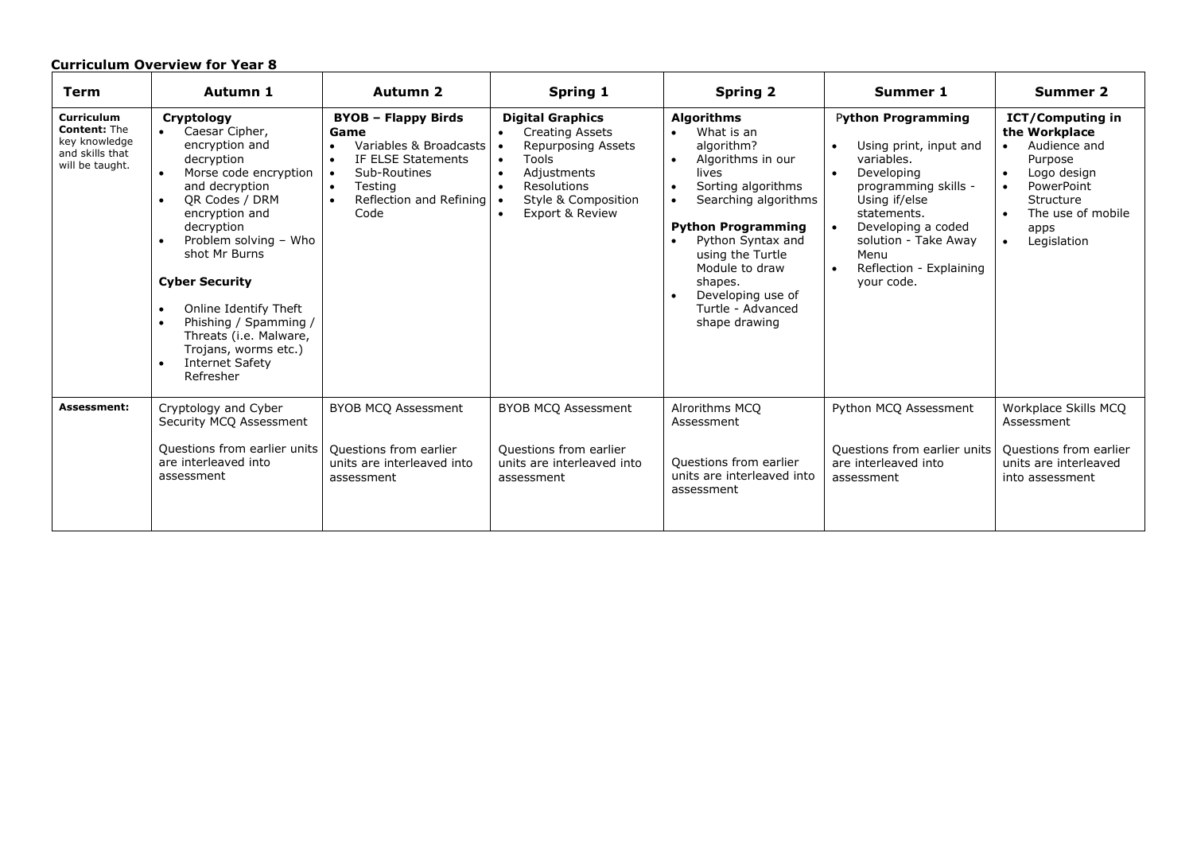| <b>Term</b>                                                                                     | Autumn 1                                                                                                                                                                                                                                                                                                                                                                                                                    | Autumn 2                                                                                                                                                                                                          | <b>Spring 1</b>                                                                                                                                                                                                         | <b>Spring 2</b>                                                                                                                                                                                                                                                                                                   | Summer 1                                                                                                                                                                                                                                            | <b>Summer 2</b>                                                                                                                                                                                  |
|-------------------------------------------------------------------------------------------------|-----------------------------------------------------------------------------------------------------------------------------------------------------------------------------------------------------------------------------------------------------------------------------------------------------------------------------------------------------------------------------------------------------------------------------|-------------------------------------------------------------------------------------------------------------------------------------------------------------------------------------------------------------------|-------------------------------------------------------------------------------------------------------------------------------------------------------------------------------------------------------------------------|-------------------------------------------------------------------------------------------------------------------------------------------------------------------------------------------------------------------------------------------------------------------------------------------------------------------|-----------------------------------------------------------------------------------------------------------------------------------------------------------------------------------------------------------------------------------------------------|--------------------------------------------------------------------------------------------------------------------------------------------------------------------------------------------------|
| <b>Curriculum</b><br><b>Content: The</b><br>key knowledge<br>and skills that<br>will be taught. | Cryptology<br>Caesar Cipher,<br>encryption and<br>decryption<br>Morse code encryption<br>and decryption<br>OR Codes / DRM<br>$\bullet$<br>encryption and<br>decryption<br>Problem solving - Who<br>shot Mr Burns<br><b>Cyber Security</b><br>Online Identify Theft<br>$\bullet$<br>Phishing / Spamming /<br>$\bullet$<br>Threats (i.e. Malware,<br>Trojans, worms etc.)<br><b>Internet Safety</b><br>$\bullet$<br>Refresher | <b>BYOB - Flappy Birds</b><br>Game<br>Variables & Broadcasts<br>$\bullet$<br>IF ELSE Statements<br>$\bullet$<br>Sub-Routines<br>$\bullet$<br>Testing<br>$\bullet$<br>Reflection and Refining<br>$\bullet$<br>Code | <b>Digital Graphics</b><br><b>Creating Assets</b><br>$\bullet$<br>Repurposing Assets<br>Tools<br>$\bullet$<br>Adjustments<br>$\bullet$<br>Resolutions<br>$\bullet$<br>Style & Composition<br><b>Export &amp; Review</b> | <b>Algorithms</b><br>What is an<br>algorithm?<br>Algorithms in our<br>$\bullet$<br>lives<br>Sorting algorithms<br>$\bullet$<br>Searching algorithms<br><b>Python Programming</b><br>Python Syntax and<br>using the Turtle<br>Module to draw<br>shapes.<br>Developing use of<br>Turtle - Advanced<br>shape drawing | <b>Python Programming</b><br>Using print, input and<br>$\bullet$<br>variables.<br>Developing<br>programming skills -<br>Using if/else<br>statements.<br>Developing a coded<br>solution - Take Away<br>Menu<br>Reflection - Explaining<br>your code. | <b>ICT/Computing in</b><br>the Workplace<br>Audience and<br>$\bullet$<br>Purpose<br>Logo design<br>$\bullet$<br>PowerPoint<br>Structure<br>The use of mobile<br>apps<br>Legislation<br>$\bullet$ |
| Assessment:                                                                                     | Cryptology and Cyber<br>Security MCQ Assessment                                                                                                                                                                                                                                                                                                                                                                             | <b>BYOB MCQ Assessment</b>                                                                                                                                                                                        | <b>BYOB MCQ Assessment</b>                                                                                                                                                                                              | Alrorithms MCQ<br>Assessment                                                                                                                                                                                                                                                                                      | Python MCO Assessment                                                                                                                                                                                                                               | Workplace Skills MCO<br>Assessment                                                                                                                                                               |
|                                                                                                 | Questions from earlier units<br>are interleaved into<br>assessment                                                                                                                                                                                                                                                                                                                                                          | Questions from earlier<br>units are interleaved into<br>assessment                                                                                                                                                | Questions from earlier<br>units are interleaved into<br>assessment                                                                                                                                                      | Questions from earlier<br>units are interleaved into<br>assessment                                                                                                                                                                                                                                                | Questions from earlier units<br>are interleaved into<br>assessment                                                                                                                                                                                  | Questions from earlier<br>units are interleaved<br>into assessment                                                                                                                               |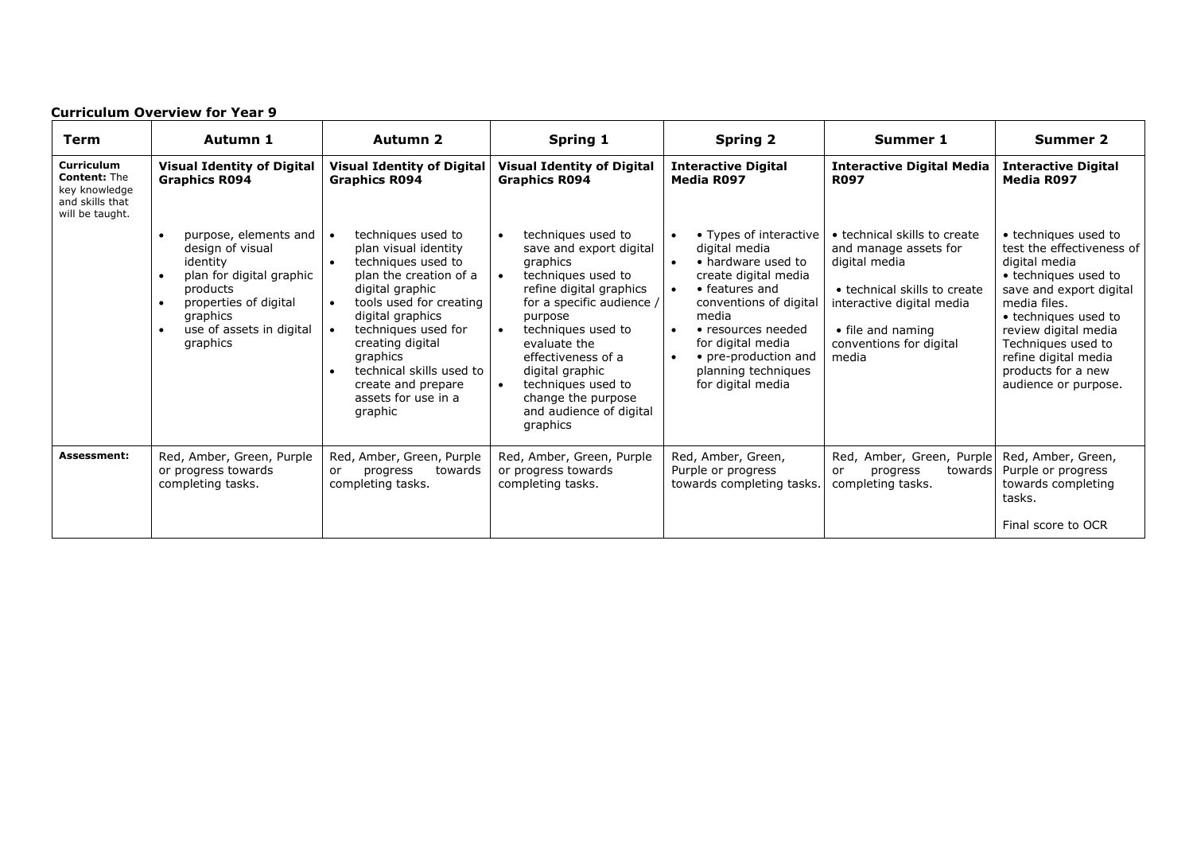| <b>Curriculum Overview for Year 9</b>                                                           |                                                                                                                                                                            |                                                                                                                                                                                                                                                                                                                                   |                                                                                                                                                                                                                                                                                                                      |                                                                                                                                                                                                                                                                                     |                                                                                                                                                                                              |                                                                                                                                                                                                                                                                                   |  |
|-------------------------------------------------------------------------------------------------|----------------------------------------------------------------------------------------------------------------------------------------------------------------------------|-----------------------------------------------------------------------------------------------------------------------------------------------------------------------------------------------------------------------------------------------------------------------------------------------------------------------------------|----------------------------------------------------------------------------------------------------------------------------------------------------------------------------------------------------------------------------------------------------------------------------------------------------------------------|-------------------------------------------------------------------------------------------------------------------------------------------------------------------------------------------------------------------------------------------------------------------------------------|----------------------------------------------------------------------------------------------------------------------------------------------------------------------------------------------|-----------------------------------------------------------------------------------------------------------------------------------------------------------------------------------------------------------------------------------------------------------------------------------|--|
| Term                                                                                            | Autumn 1                                                                                                                                                                   | Autumn 2                                                                                                                                                                                                                                                                                                                          | Spring 1                                                                                                                                                                                                                                                                                                             | <b>Spring 2</b>                                                                                                                                                                                                                                                                     | Summer 1                                                                                                                                                                                     | <b>Summer 2</b>                                                                                                                                                                                                                                                                   |  |
| <b>Curriculum</b><br><b>Content: The</b><br>key knowledge<br>and skills that<br>will be taught. | <b>Visual Identity of Digital</b><br><b>Graphics R094</b>                                                                                                                  | <b>Visual Identity of Digital</b><br><b>Graphics R094</b>                                                                                                                                                                                                                                                                         | <b>Visual Identity of Digital</b><br><b>Graphics R094</b>                                                                                                                                                                                                                                                            | <b>Interactive Digital</b><br>Media R097                                                                                                                                                                                                                                            | <b>Interactive Digital Media</b><br><b>R097</b>                                                                                                                                              | <b>Interactive Digital</b><br><b>Media R097</b>                                                                                                                                                                                                                                   |  |
|                                                                                                 | purpose, elements and<br>design of visual<br>identity<br>plan for digital graphic<br>products<br>properties of digital<br>graphics<br>use of assets in digital<br>graphics | techniques used to<br>plan visual identity<br>techniques used to<br>plan the creation of a<br>digital graphic<br>tools used for creating<br>$\bullet$<br>digital graphics<br>techniques used for<br>creating digital<br>graphics<br>technical skills used to<br>$\bullet$<br>create and prepare<br>assets for use in a<br>graphic | techniques used to<br>save and export digital<br>graphics<br>techniques used to<br>refine digital graphics<br>for a specific audience /<br>purpose<br>techniques used to<br>evaluate the<br>effectiveness of a<br>digital graphic<br>techniques used to<br>change the purpose<br>and audience of digital<br>graphics | • Types of interactive<br>$\bullet$<br>digital media<br>• hardware used to<br>create digital media<br>• features and<br>conventions of digital<br>media<br>• resources needed<br>$\bullet$<br>for digital media<br>• pre-production and<br>planning techniques<br>for digital media | • technical skills to create<br>and manage assets for<br>digital media<br>• technical skills to create<br>interactive digital media<br>• file and naming<br>conventions for digital<br>media | • techniques used to<br>test the effectiveness of<br>digital media<br>• techniques used to<br>save and export digital<br>media files.<br>• techniques used to<br>review digital media<br>Techniques used to<br>refine digital media<br>products for a new<br>audience or purpose. |  |
| <b>Assessment:</b>                                                                              | Red, Amber, Green, Purple<br>or progress towards<br>completing tasks.                                                                                                      | Red, Amber, Green, Purple<br>towards<br>progress<br>or<br>completing tasks.                                                                                                                                                                                                                                                       | Red, Amber, Green, Purple<br>or progress towards<br>completing tasks.                                                                                                                                                                                                                                                | Red, Amber, Green,<br>Purple or progress<br>towards completing tasks.                                                                                                                                                                                                               | Red, Amber, Green, Purple<br>progress<br>towards<br>or<br>completing tasks.                                                                                                                  | Red, Amber, Green,<br>Purple or progress<br>towards completing<br>tasks.<br>Final score to OCR                                                                                                                                                                                    |  |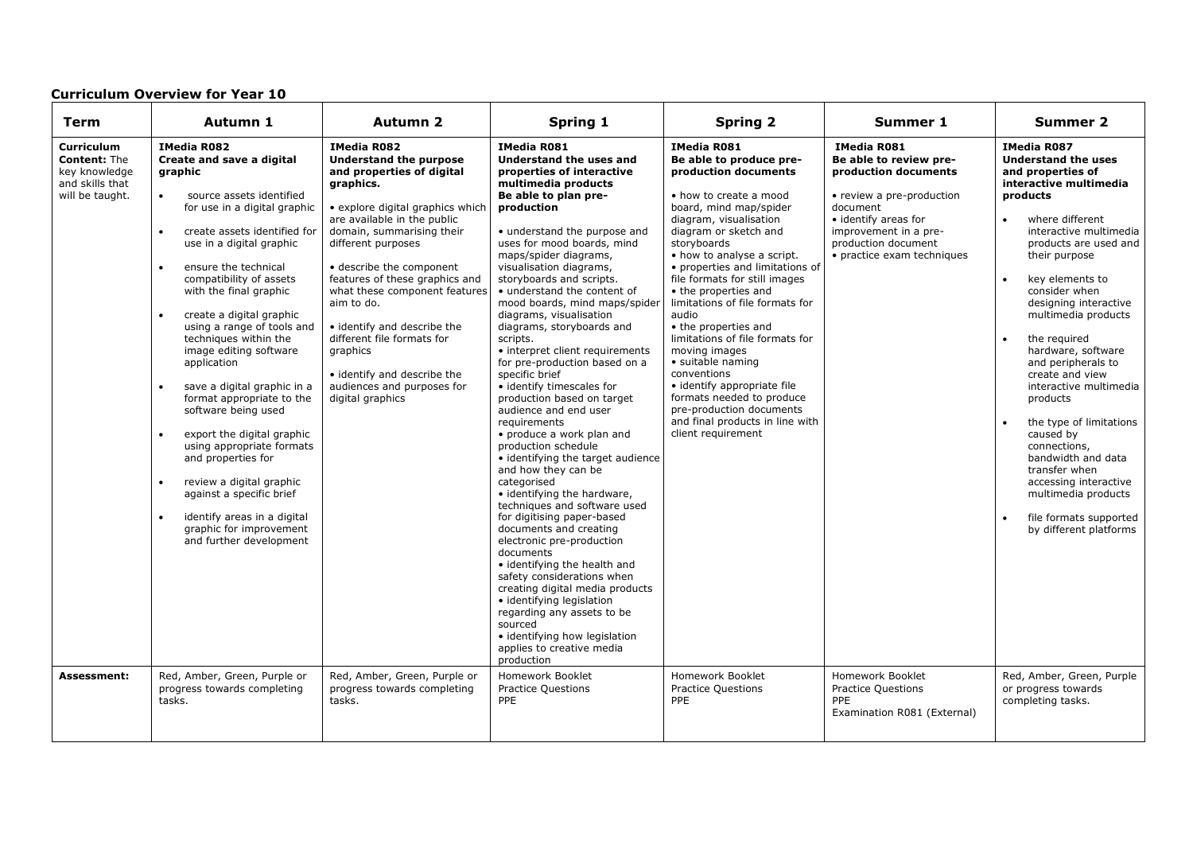| <b>Term</b>                                                                                             | Autumn 1                                                                                                                                                                                                                                                                                                                                                                                                                                                                                                                                                                                                                                                                                                                                                                                                                                             | Autumn 2                                                                                                                                                                                                                                                                                                                                                                                                                                                                                                            | <b>Spring 1</b>                                                                                                                                                                                                                                                                                                                                                                                                                                                                                                                                                                                                                                                                                                                                                                                                                                                                                                                                                                                                                                                                                                                                                                            | <b>Spring 2</b>                                                                                                                                                                                                                                                                                                                                                                                                                                                                                                                                                                                                                                        | <b>Summer 1</b>                                                                                                                                                                                                                         | <b>Summer 2</b>                                                                                                                                                                                                                                                                                                                                                                                                                                                                                                                                                                                                                                                                    |
|---------------------------------------------------------------------------------------------------------|------------------------------------------------------------------------------------------------------------------------------------------------------------------------------------------------------------------------------------------------------------------------------------------------------------------------------------------------------------------------------------------------------------------------------------------------------------------------------------------------------------------------------------------------------------------------------------------------------------------------------------------------------------------------------------------------------------------------------------------------------------------------------------------------------------------------------------------------------|---------------------------------------------------------------------------------------------------------------------------------------------------------------------------------------------------------------------------------------------------------------------------------------------------------------------------------------------------------------------------------------------------------------------------------------------------------------------------------------------------------------------|--------------------------------------------------------------------------------------------------------------------------------------------------------------------------------------------------------------------------------------------------------------------------------------------------------------------------------------------------------------------------------------------------------------------------------------------------------------------------------------------------------------------------------------------------------------------------------------------------------------------------------------------------------------------------------------------------------------------------------------------------------------------------------------------------------------------------------------------------------------------------------------------------------------------------------------------------------------------------------------------------------------------------------------------------------------------------------------------------------------------------------------------------------------------------------------------|--------------------------------------------------------------------------------------------------------------------------------------------------------------------------------------------------------------------------------------------------------------------------------------------------------------------------------------------------------------------------------------------------------------------------------------------------------------------------------------------------------------------------------------------------------------------------------------------------------------------------------------------------------|-----------------------------------------------------------------------------------------------------------------------------------------------------------------------------------------------------------------------------------------|------------------------------------------------------------------------------------------------------------------------------------------------------------------------------------------------------------------------------------------------------------------------------------------------------------------------------------------------------------------------------------------------------------------------------------------------------------------------------------------------------------------------------------------------------------------------------------------------------------------------------------------------------------------------------------|
| Curriculum<br><b>Content: The</b><br>key knowledge<br>and skills that<br>will be taught.<br>Assessment: | <b>IMedia R082</b><br>Create and save a digital<br>graphic<br>source assets identified<br>$\bullet$<br>for use in a digital graphic<br>$\bullet$<br>create assets identified for<br>use in a digital graphic<br>ensure the technical<br>$\bullet$<br>compatibility of assets<br>with the final graphic<br>$\bullet$<br>create a digital graphic<br>using a range of tools and<br>techniques within the<br>image editing software<br>application<br>save a digital graphic in a<br>$\bullet$<br>format appropriate to the<br>software being used<br>$\bullet$<br>export the digital graphic<br>using appropriate formats<br>and properties for<br>$\bullet$<br>review a digital graphic<br>against a specific brief<br>identify areas in a digital<br>$\bullet$<br>graphic for improvement<br>and further development<br>Red, Amber, Green, Purple or | <b>IMedia R082</b><br>Understand the purpose<br>and properties of digital<br>graphics.<br>• explore digital graphics which<br>are available in the public<br>domain, summarising their<br>different purposes<br>• describe the component<br>features of these graphics and<br>what these component features<br>aim to do.<br>• identify and describe the<br>different file formats for<br>graphics<br>• identify and describe the<br>audiences and purposes for<br>digital graphics<br>Red, Amber, Green, Purple or | <b>IMedia R081</b><br>Understand the uses and<br>properties of interactive<br>multimedia products<br>Be able to plan pre-<br>production<br>• understand the purpose and<br>uses for mood boards, mind<br>maps/spider diagrams,<br>visualisation diagrams,<br>storyboards and scripts.<br>• understand the content of<br>mood boards, mind maps/spider<br>diagrams, visualisation<br>diagrams, storyboards and<br>scripts.<br>• interpret client requirements<br>for pre-production based on a<br>specific brief<br>· identify timescales for<br>production based on target<br>audience and end user<br>requirements<br>• produce a work plan and<br>production schedule<br>• identifying the target audience<br>and how they can be<br>categorised<br>· identifying the hardware,<br>techniques and software used<br>for digitising paper-based<br>documents and creating<br>electronic pre-production<br>documents<br>• identifying the health and<br>safety considerations when<br>creating digital media products<br>· identifying legislation<br>regarding any assets to be<br>sourced<br>· identifying how legislation<br>applies to creative media<br>production<br>Homework Booklet | <b>IMedia R081</b><br>Be able to produce pre-<br>production documents<br>• how to create a mood<br>board, mind map/spider<br>diagram, visualisation<br>diagram or sketch and<br>storyboards<br>• how to analyse a script.<br>• properties and limitations of<br>file formats for still images<br>• the properties and<br>limitations of file formats for<br>audio<br>• the properties and<br>limitations of file formats for<br>moving images<br>• suitable naming<br>conventions<br>• identify appropriate file<br>formats needed to produce<br>pre-production documents<br>and final products in line with<br>client requirement<br>Homework Booklet | <b>IMedia R081</b><br>Be able to review pre-<br>production documents<br>• review a pre-production<br>document<br>• identify areas for<br>improvement in a pre-<br>production document<br>• practice exam techniques<br>Homework Booklet | <b>IMedia R087</b><br><b>Understand the uses</b><br>and properties of<br>interactive multimedia<br>products<br>where different<br>$\bullet$<br>interactive multimedia<br>products are used and<br>their purpose<br>key elements to<br>$\bullet$<br>consider when<br>designing interactive<br>multimedia products<br>the required<br>$\bullet$<br>hardware, software<br>and peripherals to<br>create and view<br>interactive multimedia<br>products<br>the type of limitations<br>caused by<br>connections,<br>bandwidth and data<br>transfer when<br>accessing interactive<br>multimedia products<br>file formats supported<br>by different platforms<br>Red, Amber, Green, Purple |
|                                                                                                         | progress towards completing<br>tasks.                                                                                                                                                                                                                                                                                                                                                                                                                                                                                                                                                                                                                                                                                                                                                                                                                | progress towards completing<br>tasks.                                                                                                                                                                                                                                                                                                                                                                                                                                                                               | <b>Practice Questions</b><br>PPE                                                                                                                                                                                                                                                                                                                                                                                                                                                                                                                                                                                                                                                                                                                                                                                                                                                                                                                                                                                                                                                                                                                                                           | <b>Practice Questions</b><br><b>PPE</b>                                                                                                                                                                                                                                                                                                                                                                                                                                                                                                                                                                                                                | <b>Practice Questions</b><br><b>PPE</b><br>Examination R081 (External)                                                                                                                                                                  | or progress towards<br>completing tasks.                                                                                                                                                                                                                                                                                                                                                                                                                                                                                                                                                                                                                                           |